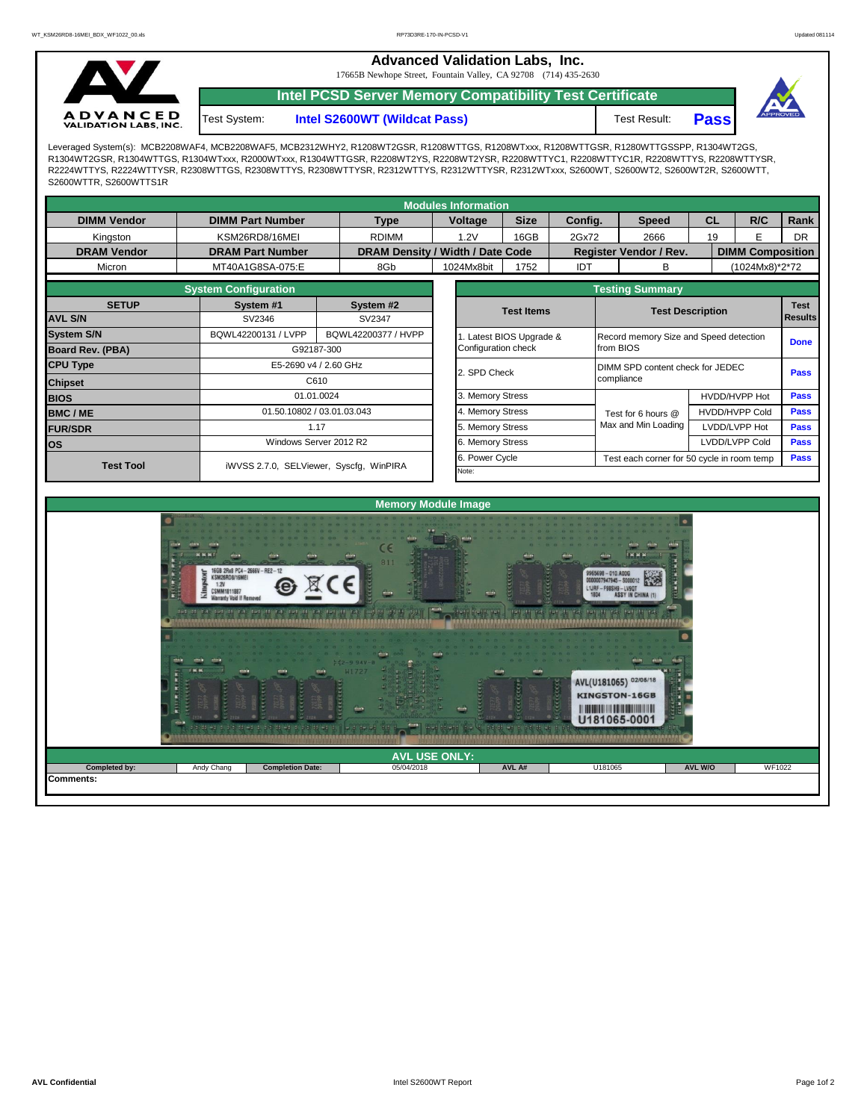**Advanced Validation Labs, Inc.** 

17665B Newhope Street, Fountain Valley, CA 92708 (714) 435-2630



Test System:

**Intel PCSD Server Memory Compatibility Test Certificate**

**Intel S2600WT (Wildcat Pass)** Test Result: **Pass** 



Leveraged System(s): MCB2208WAF4, MCB2208WAF5, MCB2312WHY2, R1208WT2GSR, R1208WTTGS, R1208WTxxx, R1208WTTGSR, R1280WTTGSSPP, R1304WT2GS, R1304WT2GSR, R1304WTTGS, R1304WTxxx, R2000WTxxx, R1304WTTGSR, R2208WT2YS, R2208WT2YSR, R2208WTTYC1, R2208WTTYC1R, R2208WTTYS, R2208WTTYSR, R2224WTTYS, R2224WTTYSR, R2308WTTGS, R2308WTTYS, R2308WTTYSR, R2312WTTYS, R2312WTTYSR, R2312WTxxx, S2600WT, S2600WT2, S2600WT2R, S2600WTT, S2600WTTR, S2600WTTS1R

| <b>Modules Information</b> |                            |                                         |                  |                  |                                  |             |                                           |                                                |                               |                                        |                                                           |             |             |  |  |  |
|----------------------------|----------------------------|-----------------------------------------|------------------|------------------|----------------------------------|-------------|-------------------------------------------|------------------------------------------------|-------------------------------|----------------------------------------|-----------------------------------------------------------|-------------|-------------|--|--|--|
| <b>DIMM Vendor</b>         | <b>DIMM Part Number</b>    |                                         | <b>Type</b>      |                  | Voltage                          | <b>Size</b> | Config.                                   |                                                | <b>Speed</b>                  | <b>CL</b>                              |                                                           | R/C         | Rank        |  |  |  |
| Kingston                   | KSM26RD8/16MEI             |                                         | <b>RDIMM</b>     |                  | 1.2V                             | 16GB        | 2Gx72                                     |                                                | 2666                          | 19                                     |                                                           | Е           | <b>DR</b>   |  |  |  |
| <b>DRAM Vendor</b>         | <b>DRAM Part Number</b>    |                                         |                  |                  | DRAM Density / Width / Date Code |             |                                           |                                                | <b>Register Vendor / Rev.</b> |                                        | <b>DIMM Composition</b>                                   |             |             |  |  |  |
| Micron                     | MT40A1G8SA-075:E           |                                         | 8Gb              |                  | 1024Mx8bit                       | 1752        | <b>IDT</b>                                |                                                | В                             |                                        | (1024Mx8)*2*72                                            |             |             |  |  |  |
|                            |                            | <b>Testing Summary</b>                  |                  |                  |                                  |             |                                           |                                                |                               |                                        |                                                           |             |             |  |  |  |
| <b>SETUP</b>               | System #1                  |                                         | System #2        |                  | <b>Test Items</b>                |             |                                           |                                                |                               |                                        |                                                           | <b>Test</b> |             |  |  |  |
| <b>AVL S/N</b>             | SV2346                     | SV2347                                  |                  |                  |                                  |             | <b>Test Description</b><br><b>Results</b> |                                                |                               |                                        |                                                           |             |             |  |  |  |
| <b>System S/N</b>          | BQWL42200131 / LVPP        | BQWL42200377 / HVPP                     |                  |                  |                                  |             | Latest BIOS Upgrade &                     |                                                |                               | Record memory Size and Speed detection |                                                           |             |             |  |  |  |
| <b>Board Rev. (PBA)</b>    |                            | G92187-300                              |                  |                  |                                  |             |                                           | from BIOS                                      |                               |                                        |                                                           |             | <b>Done</b> |  |  |  |
| <b>CPU Type</b>            |                            | E5-2690 v4 / 2.60 GHz                   |                  |                  | 2. SPD Check                     |             |                                           | DIMM SPD content check for JEDEC<br>compliance |                               |                                        |                                                           | <b>Pass</b> |             |  |  |  |
| <b>Chipset</b>             |                            |                                         |                  |                  |                                  |             |                                           |                                                |                               |                                        |                                                           |             |             |  |  |  |
| <b>BIOS</b>                | 01.01.0024                 |                                         |                  |                  | 3. Memory Stress                 |             | HVDD/HVPP Hot                             |                                                |                               | <b>Pass</b>                            |                                                           |             |             |  |  |  |
| <b>BMC/ME</b>              | 01.50.10802 / 03.01.03.043 |                                         |                  | 4. Memory Stress |                                  |             |                                           | Test for 6 hours @                             |                               | <b>HVDD/HVPP Cold</b>                  |                                                           | <b>Pass</b> |             |  |  |  |
| <b>FUR/SDR</b>             |                            |                                         | 5. Memory Stress |                  |                                  |             | Max and Min Loading                       |                                                | LVDD/LVPP Hot                 |                                        | <b>Pass</b>                                               |             |             |  |  |  |
| <b>los</b>                 | Windows Server 2012 R2     |                                         |                  |                  | 6. Memory Stress                 |             |                                           |                                                |                               |                                        | LVDD/LVPP Cold                                            |             | <b>Pass</b> |  |  |  |
| <b>Test Tool</b>           |                            |                                         |                  |                  |                                  |             | 6. Power Cycle                            |                                                |                               |                                        | <b>Pass</b><br>Test each corner for 50 cycle in room temp |             |             |  |  |  |
|                            |                            | iWVSS 2.7.0, SELViewer, Syscfq, WinPIRA |                  |                  |                                  |             |                                           |                                                |                               |                                        |                                                           |             |             |  |  |  |